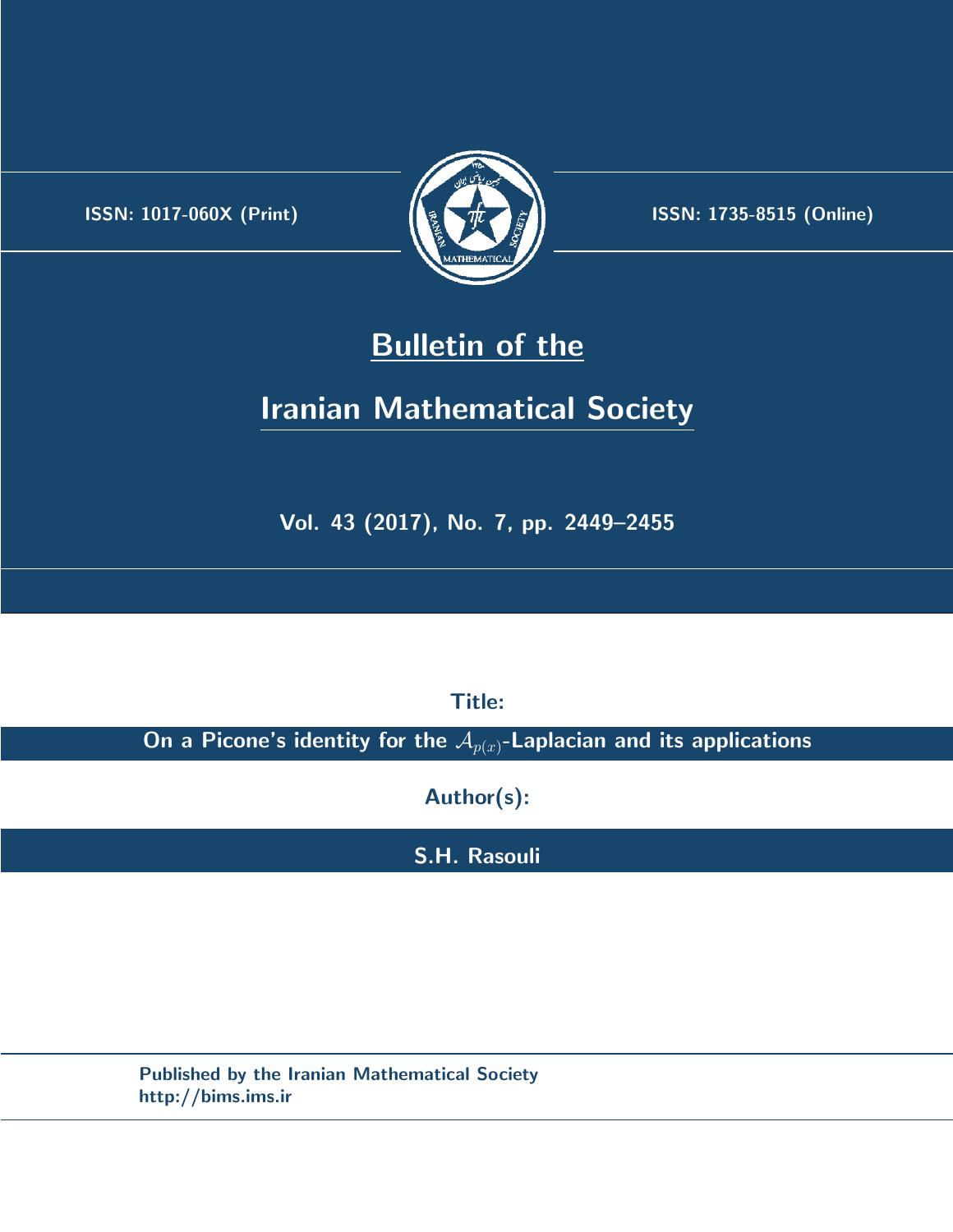.



**ISSN:** 1017-060X (Print) **ISSN:** 1735-8515 (Online)

## **Bulletin of the**

# **Iranian Mathematical Society**

**Vol. 43 (2017), No. 7, pp. 2449–2455**

**Title:**

**On a Picone's identity for the** *Ap*(*x*)**-Laplacian and its applications**

**Author(s):**

**S.H. Rasouli**

**Published by the Iranian Mathematical Society http://bims.ims.ir**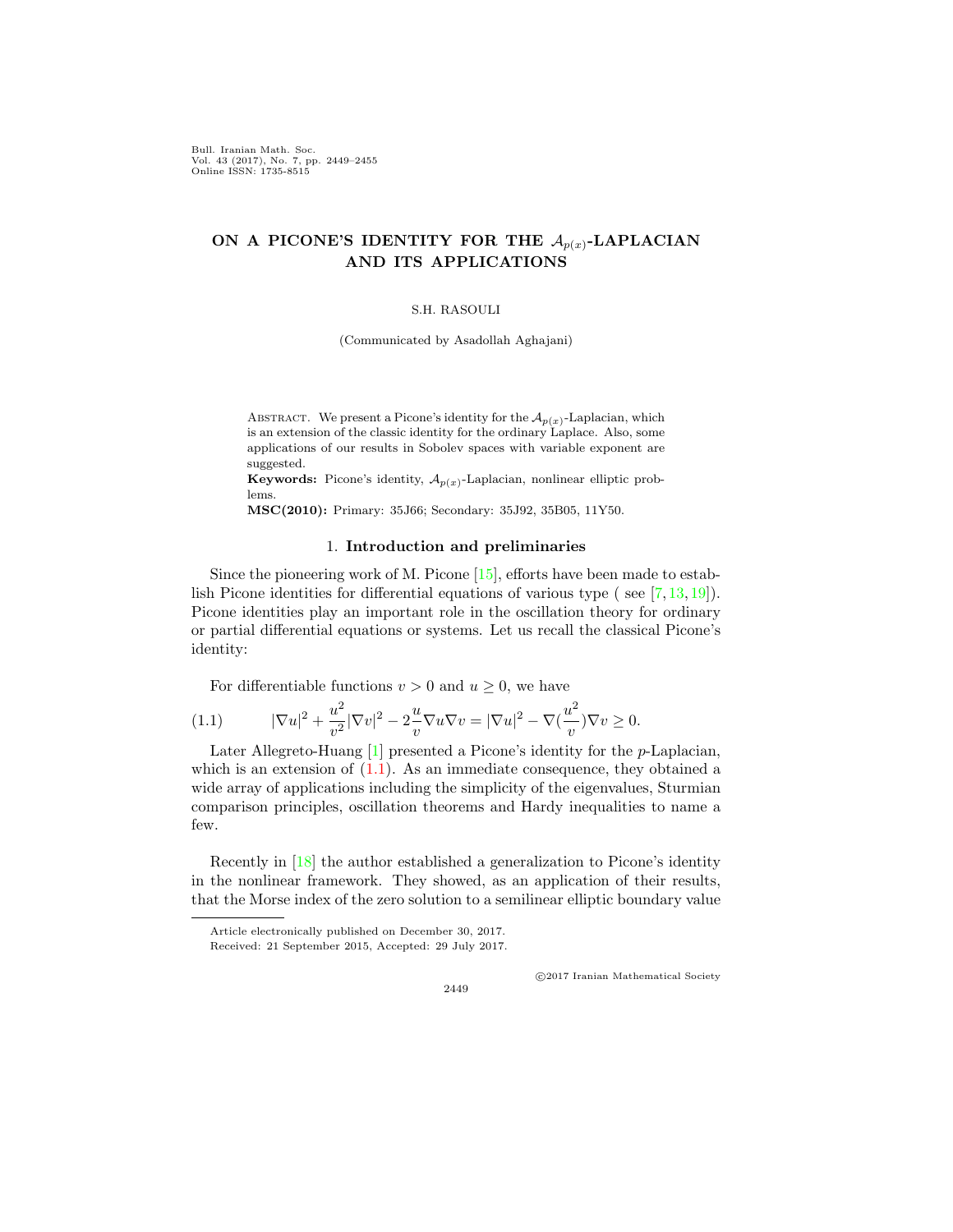Bull. Iranian Math. Soc. Vol. 43 (2017), No. 7, pp. 2449–2455 Online ISSN: 1735-8515

## ON A PICONE'S IDENTITY FOR THE  $A_{p(x)}$ -LAPLACIAN **AND ITS APPLICATIONS**

#### S.H. RASOULI

(Communicated by Asadollah Aghajani)

ABSTRACT. We present a Picone's identity for the  $\mathcal{A}_{p(x)}$ -Laplacian, which is an extension of the classic identity for the ordinary Laplace. Also, some applications of our results in Sobolev spaces with variable exponent are suggested.

**Keywords:** Picone's identity, *Ap*(*x*) -Laplacian, nonlinear elliptic problems.

**MSC(2010):** Primary: 35J66; Secondary: 35J92, 35B05, 11Y50.

#### 1. **Introduction and preliminaries**

Since the pioneering work of M. Picone [[15](#page-7-0)], efforts have been made to establish Picone identities for differential equations of various type ( see [[7,](#page-6-0) [13,](#page-7-1) [19\]](#page-7-2)). Picone identities play an important role in the oscillation theory for ordinary or partial differential equations or systems. Let us recall the classical Picone's identity:

<span id="page-1-0"></span>For differentiable functions  $v > 0$  and  $u \geq 0$ , we have

(1.1) 
$$
|\nabla u|^2 + \frac{u^2}{v^2} |\nabla v|^2 - 2\frac{u}{v} \nabla u \nabla v = |\nabla u|^2 - \nabla (\frac{u^2}{v}) \nabla v \ge 0.
$$

Later Allegreto-Huang [[1\]](#page-6-1) presented a Picone's identity for the *p*-Laplacian, which is an extension of  $(1.1)$ . As an immediate consequence, they obtained a wide array of applications including the simplicity of the eigenvalues, Sturmian comparison principles, oscillation theorems and Hardy inequalities to name a few.

Recently in [\[18](#page-7-3)] the author established a generalization to Picone's identity in the nonlinear framework. They showed, as an application of their results, that the Morse index of the zero solution to a semilinear elliptic boundary value

2449

*⃝*c 2017 Iranian Mathematical Society

Article electronically published on December 30, 2017.

Received: 21 September 2015, Accepted: 29 July 2017.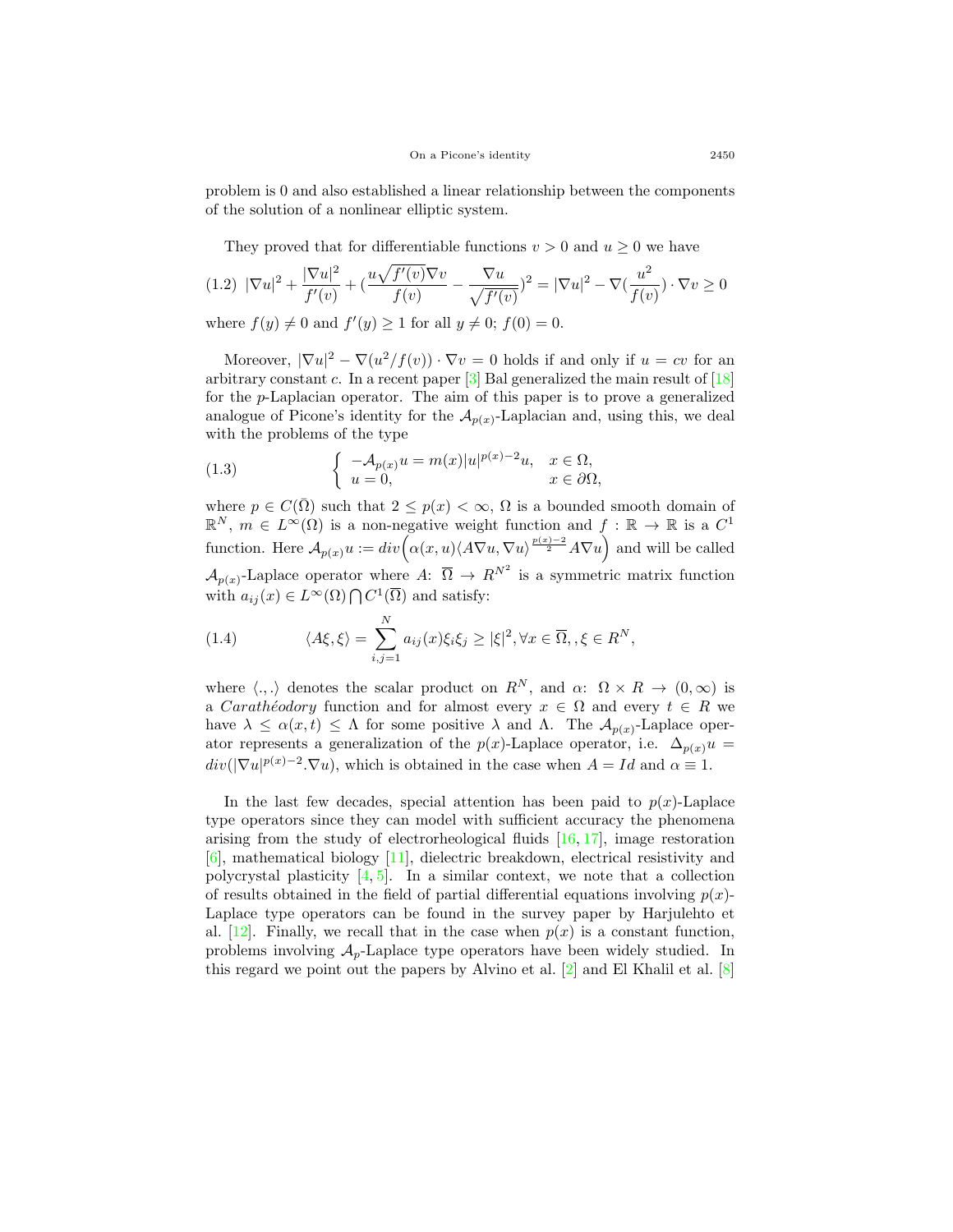problem is 0 and also established a linear relationship between the components of the solution of a nonlinear elliptic system.

They proved that for differentiable functions  $v > 0$  and  $u \ge 0$  we have

$$
(1.2) \ |\nabla u|^2 + \frac{|\nabla u|^2}{f'(v)} + \left(\frac{u\sqrt{f'(v)}\nabla v}{f(v)} - \frac{\nabla u}{\sqrt{f'(v)}}\right)^2 = |\nabla u|^2 - \nabla \left(\frac{u^2}{f(v)}\right) \cdot \nabla v \ge 0
$$

where  $f(y) \neq 0$  and  $f'(y) \geq 1$  for all  $y \neq 0$ ;  $f(0) = 0$ .

Moreover,  $|\nabla u|^2 - \nabla (u^2/f(v)) \cdot \nabla v = 0$  holds if and only if  $u = cv$  for an arbitrary constant *c*. In a recent paper [\[3](#page-6-2)] Bal generalized the main result of [[18](#page-7-3)] for the *p*-Laplacian operator. The aim of this paper is to prove a generalized analogue of Picone's identity for the  $\mathcal{A}_{p(x)}$ -Laplacian and, using this, we deal with the problems of the type

<span id="page-2-0"></span>(1.3) 
$$
\begin{cases}\n-\mathcal{A}_{p(x)}u = m(x)|u|^{p(x)-2}u, & x \in \Omega, \\
u = 0, & x \in \partial\Omega,\n\end{cases}
$$

where  $p \in C(\overline{\Omega})$  such that  $2 \leq p(x) < \infty$ ,  $\Omega$  is a bounded smooth domain of  $\mathbb{R}^N$ ,  $m \in L^{\infty}(\Omega)$  is a non-negative weight function and  $f : \mathbb{R} \to \mathbb{R}$  is a  $C^1$ function. Here  $\mathcal{A}_{p(x)}u := div \Big( \alpha(x, u) \langle A \nabla u, \nabla u \rangle^{\frac{p(x)-2}{2}} A \nabla u \Big)$  and will be called  $\mathcal{A}_{p(x)}$ -Laplace operator where *A*:  $\overline{\Omega} \to R^{N^2}$  is a symmetric matrix function with  $a_{ij}(x) \in L^{\infty}(\Omega) \cap C^{1}(\overline{\Omega})$  and satisfy:

(1.4) 
$$
\langle A\xi, \xi \rangle = \sum_{i,j=1}^{N} a_{ij}(x)\xi_i \xi_j \ge |\xi|^2, \forall x \in \overline{\Omega}, \xi \in R^N,
$$

where  $\langle ., . \rangle$  denotes the scalar product on  $R^N$ , and  $\alpha: \Omega \times R \to (0, \infty)$  is a *Caratheodory* function and for almost every  $x \in \Omega$  and every  $t \in R$  we have  $\lambda \leq \alpha(x, t) \leq \Lambda$  for some positive  $\lambda$  and  $\Lambda$ . The  $\mathcal{A}_{p(x)}$ -Laplace operator represents a generalization of the  $p(x)$ -Laplace operator, i.e.  $\Delta_{p(x)} u =$  $div(|\nabla u|^{p(x)-2} \cdot \nabla u)$ , which is obtained in the case when  $A = Id$  and  $\alpha \equiv 1$ .

In the last few decades, special attention has been paid to  $p(x)$ -Laplace type operators since they can model with sufficient accuracy the phenomena arising from the study of electrorheological fluids  $[16, 17]$  $[16, 17]$  $[16, 17]$  $[16, 17]$ , image restoration [[6\]](#page-6-3), mathematical biology [\[11](#page-7-6)], dielectric breakdown, electrical resistivity and polycrystal plasticity  $[4, 5]$  $[4, 5]$  $[4, 5]$  $[4, 5]$ . In a similar context, we note that a collection of results obtained in the field of partial differential equations involving  $p(x)$ -Laplace type operators can be found in the survey paper by Harjulehto et al.  $[12]$  $[12]$ . Finally, we recall that in the case when  $p(x)$  is a constant function, problems involving  $A_p$ -Laplace type operators have been widely studied. In this regard we point out the papers by Alvino et al.  $[2]$  $[2]$  and El Khalil et al.  $[8]$  $[8]$  $[8]$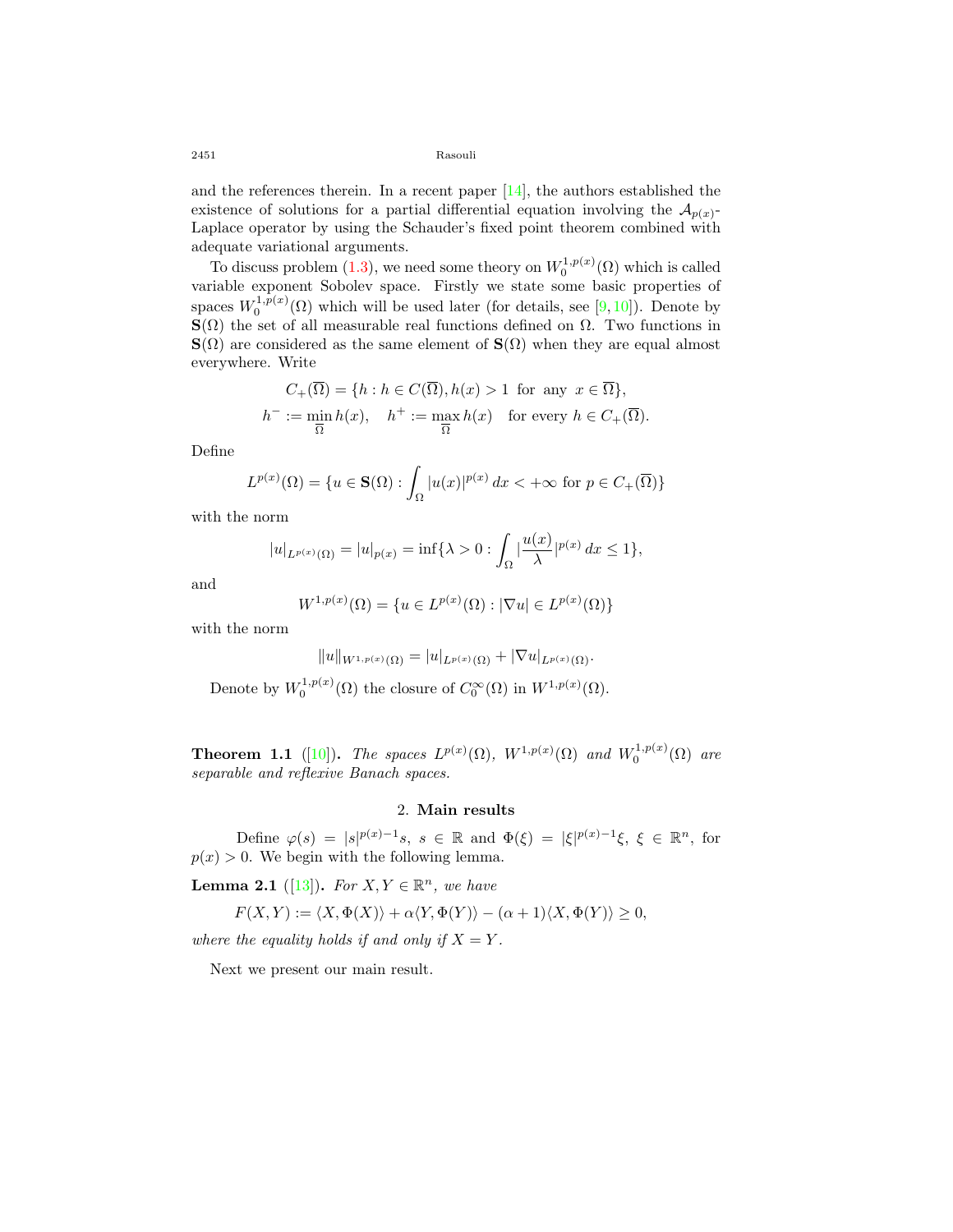2451 Rasouli

and the references therein. In a recent paper  $[14]$  $[14]$ , the authors established the existence of solutions for a partial differential equation involving the  $A_{p(x)}$ Laplace operator by using the Schauder's fixed point theorem combined with adequate variational arguments.

To discuss problem ([1.3\)](#page-2-0), we need some theory on  $W_0^{1,p(x)}(\Omega)$  which is called variable exponent Sobolev space. Firstly we state some basic properties of spaces  $W_0^{1,p(x)}(\Omega)$  which will be used later (for details, see [[9,](#page-6-8) [10](#page-6-9)]). Denote by **S**( $\Omega$ ) the set of all measurable real functions defined on  $\Omega$ . Two functions in **S**( $\Omega$ ) are considered as the same element of **S**( $\Omega$ ) when they are equal almost everywhere. Write

$$
C_{+}(\overline{\Omega}) = \{ h : h \in C(\overline{\Omega}), h(x) > 1 \text{ for any } x \in \overline{\Omega} \},\
$$
  

$$
h^{-} := \min_{\overline{\Omega}} h(x), \quad h^{+} := \max_{\overline{\Omega}} h(x) \quad \text{for every } h \in C_{+}(\overline{\Omega}).
$$

Define

$$
L^{p(x)}(\Omega) = \{ u \in \mathbf{S}(\Omega) : \int_{\Omega} |u(x)|^{p(x)} dx < +\infty \text{ for } p \in C_{+}(\overline{\Omega}) \}
$$

with the norm

$$
|u|_{L^{p(x)}(\Omega)} = |u|_{p(x)} = \inf \{ \lambda > 0 : \int_{\Omega} \left| \frac{u(x)}{\lambda} \right|^{p(x)} dx \le 1 \},
$$

and

$$
W^{1,p(x)}(\Omega) = \{ u \in L^{p(x)}(\Omega) : |\nabla u| \in L^{p(x)}(\Omega) \}
$$

with the norm

$$
||u||_{W^{1,p(x)}(\Omega)} = |u|_{L^{p(x)}(\Omega)} + |\nabla u|_{L^{p(x)}(\Omega)}.
$$

Denote by  $W_0^{1,p(x)}(\Omega)$  the closure of  $C_0^{\infty}(\Omega)$  in  $W^{1,p(x)}(\Omega)$ .

**Theorem 1.1** ([[10\]](#page-6-9)). *The spaces*  $L^{p(x)}(\Omega)$ ,  $W^{1,p(x)}(\Omega)$  and  $W_0^{1,p(x)}(\Omega)$  are *separable and reflexive Banach spaces.*

## 2. **Main results**

Define  $\varphi(s) = |s|^{p(x)-1}s$ ,  $s \in \mathbb{R}$  and  $\Phi(\xi) = |\xi|^{p(x)-1}\xi$ ,  $\xi \in \mathbb{R}^n$ , for  $p(x) > 0$ . We begin with the following lemma.

<span id="page-3-0"></span>**Lemma 2.1** ([\[13](#page-7-1)]). *For*  $X, Y \in \mathbb{R}^n$ , we have

$$
F(X,Y) := \langle X, \Phi(X) \rangle + \alpha \langle Y, \Phi(Y) \rangle - (\alpha + 1) \langle X, \Phi(Y) \rangle \ge 0,
$$

*where the equality holds if and only if*  $X = Y$ .

Next we present our main result.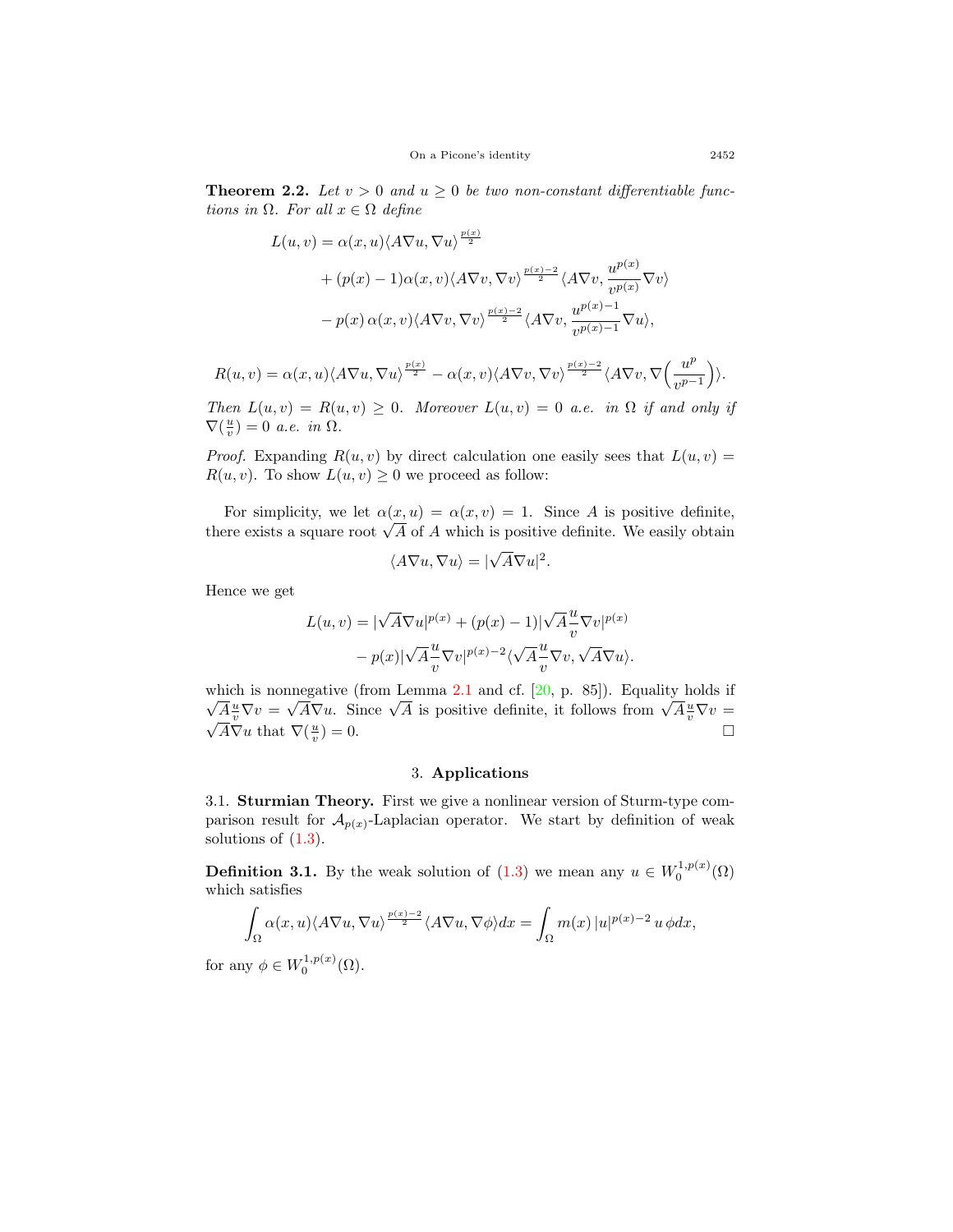**Theorem 2.2.** Let  $v > 0$  and  $u \geq 0$  be two non-constant differentiable func*tions in*  $\Omega$ *. For all*  $x \in \Omega$  *define* 

$$
L(u, v) = \alpha(x, u) \langle A \nabla u, \nabla u \rangle^{\frac{p(x)}{2}} + (p(x) - 1) \alpha(x, v) \langle A \nabla v, \nabla v \rangle^{\frac{p(x) - 2}{2}} \langle A \nabla v, \frac{u^{p(x)}}{v^{p(x)}} \nabla v \rangle - p(x) \alpha(x, v) \langle A \nabla v, \nabla v \rangle^{\frac{p(x) - 2}{2}} \langle A \nabla v, \frac{u^{p(x) - 1}}{v^{p(x) - 1}} \nabla u \rangle,
$$

$$
R(u,v) = \alpha(x,u) \langle A \nabla u, \nabla u \rangle^{\frac{p(x)}{2}} - \alpha(x,v) \langle A \nabla v, \nabla v \rangle^{\frac{p(x)-2}{2}} \langle A \nabla v, \nabla \left( \frac{u^p}{v^{p-1}} \right) \rangle.
$$

*Then*  $L(u, v) = R(u, v) \geq 0$ *. Moreover*  $L(u, v) = 0$  *a.e. in*  $\Omega$  *if and only if*  $\nabla(\frac{u}{v}) = 0$  *a.e. in*  $\Omega$ *.* 

*Proof.* Expanding  $R(u, v)$  by direct calculation one easily sees that  $L(u, v)$  =  $R(u, v)$ . To show  $L(u, v) \geq 0$  we proceed as follow:

For simplicity, we let  $\alpha(x, u) = \alpha(x, v) = 1$ . Since *A* is positive definite, Tor simplicity, we let  $\alpha(x, u) = \alpha(x, v) = 1$ . Since *A* is positive definite, there exists a square root  $\sqrt{A}$  of *A* which is positive definite. We easily obtain

$$
\langle A\nabla u, \nabla u \rangle = |\sqrt{A}\nabla u|^2.
$$

Hence we get

$$
L(u, v) = |\sqrt{A} \nabla u|^{p(x)} + (p(x) - 1)|\sqrt{A} \frac{u}{v} \nabla v|^{p(x)} - p(x)|\sqrt{A} \frac{u}{v} \nabla v|^{p(x)-2} \langle \sqrt{A} \frac{u}{v} \nabla v, \sqrt{A} \nabla u \rangle.
$$

which is nonnegative (from Lemma [2.1](#page-3-0) and cf. [[20,](#page-7-9) p. 85]). Equality holds if which is nonnegative (non-Lemma 2.1 and cr. [20, p. 85]). Equality holds in  $\sqrt{A} \frac{u}{v} \nabla v = \sqrt{A} \nabla u$ . Since  $\sqrt{A}$  is positive definite, it follows from  $\sqrt{A} \frac{u}{v} \nabla v = \frac{1}{\sqrt{A}} \nabla u$ .  $\overline{A} \nabla u$  that  $\nabla (\frac{u}{v})$  $) = 0.$ 

### 3. **Applications**

3.1. **Sturmian Theory.** First we give a nonlinear version of Sturm-type comparison result for  $\mathcal{A}_{p(x)}$ -Laplacian operator. We start by definition of weak solutions of  $(1.3)$  $(1.3)$  $(1.3)$ .

**Definition 3.1.** By the weak solution of  $(1.3)$  we mean any  $u \in W_0^{1,p(x)}(\Omega)$ which satisfies

$$
\int_{\Omega} \alpha(x, u) \langle A \nabla u, \nabla u \rangle^{\frac{p(x)-2}{2}} \langle A \nabla u, \nabla \phi \rangle dx = \int_{\Omega} m(x) |u|^{p(x)-2} u \, \phi dx,
$$

for any  $\phi \in W_0^{1,p(x)}(\Omega)$ .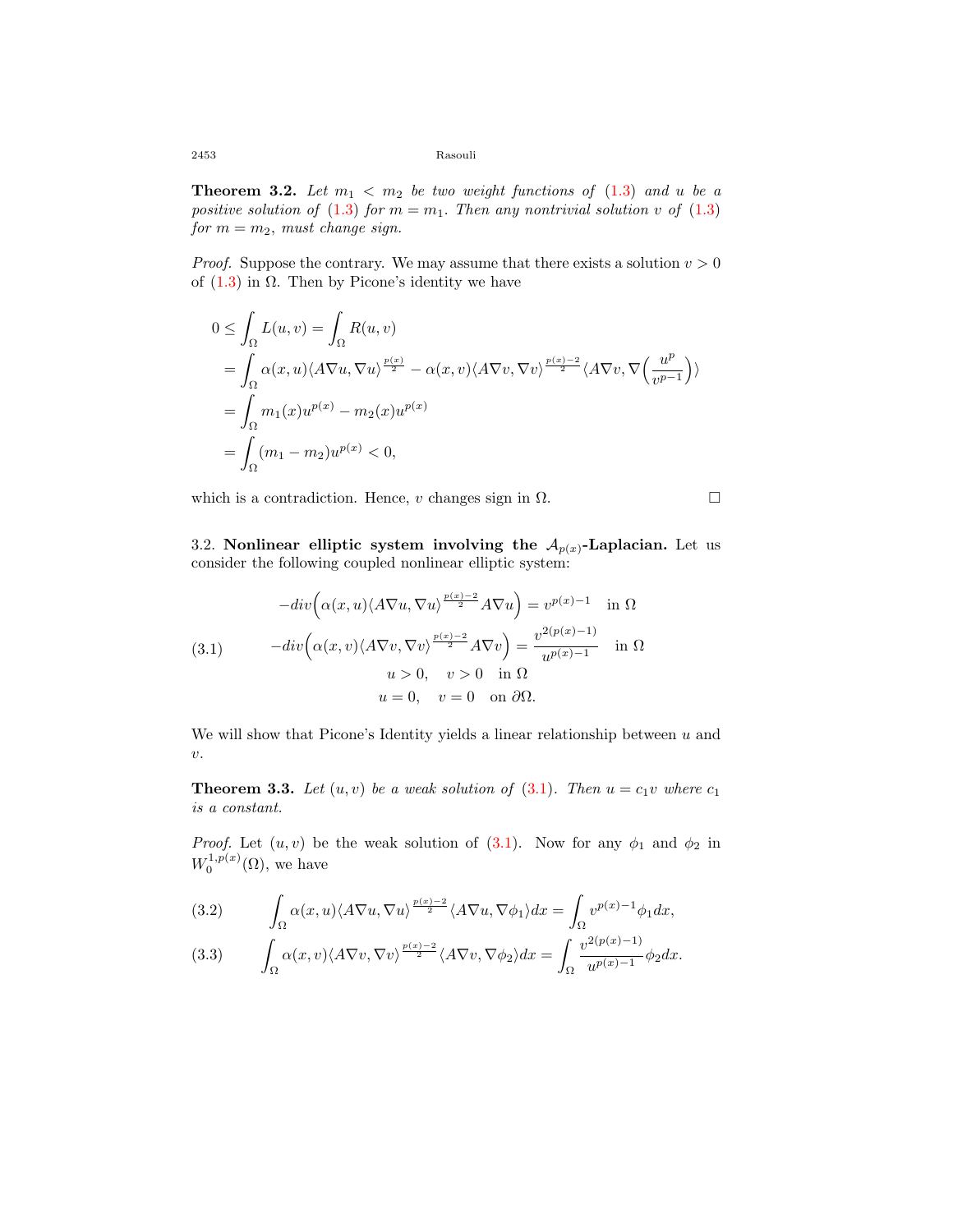2453 Rasouli

**Theorem 3.2.** Let  $m_1 < m_2$  be two weight functions of  $(1.3)$  $(1.3)$  and  $u$  be a *positive solution of* [\(1.3\)](#page-2-0) *for*  $m = m_1$ *. Then any nontrivial solution v of* ([1.3](#page-2-0))  $for m = m<sub>2</sub>, must change sign.$ 

*Proof.* Suppose the contrary. We may assume that there exists a solution  $v > 0$ of  $(1.3)$  in  $\Omega$ . Then by Picone's identity we have

$$
0 \leq \int_{\Omega} L(u, v) = \int_{\Omega} R(u, v)
$$
  
= 
$$
\int_{\Omega} \alpha(x, u) \langle A \nabla u, \nabla u \rangle^{\frac{p(x)}{2}} - \alpha(x, v) \langle A \nabla v, \nabla v \rangle^{\frac{p(x)-2}{2}} \langle A \nabla v, \nabla \left( \frac{u^p}{v^{p-1}} \right) \rangle
$$
  
= 
$$
\int_{\Omega} m_1(x) u^{p(x)} - m_2(x) u^{p(x)}
$$
  
= 
$$
\int_{\Omega} (m_1 - m_2) u^{p(x)} < 0,
$$

which is a contradiction. Hence, *v* changes sign in  $\Omega$ .

3.2. **Nonlinear elliptic system involving the**  $A_{p(x)}$ **-Laplacian.** Let us consider the following coupled nonlinear elliptic system:

<span id="page-5-0"></span>
$$
-div\left(\alpha(x,u)\langle A\nabla u, \nabla u\rangle^{\frac{p(x)-2}{2}}A\nabla u\right) = v^{p(x)-1} \quad \text{in } \Omega
$$
\n
$$
(3.1) \qquad -div\left(\alpha(x,v)\langle A\nabla v, \nabla v\rangle^{\frac{p(x)-2}{2}}A\nabla v\right) = \frac{v^{2(p(x)-1)}}{u^{p(x)-1}} \quad \text{in } \Omega
$$
\n
$$
u > 0, \quad v > 0 \quad \text{in } \Omega
$$
\n
$$
u = 0, \quad v = 0 \quad \text{on } \partial\Omega.
$$

We will show that Picone's Identity yields a linear relationship between *u* and *v*.

**Theorem 3.3.** Let  $(u, v)$  be a weak solution of  $(3.1)$  $(3.1)$ . Then  $u = c_1v$  where  $c_1$ *is a constant.*

*Proof.* Let  $(u, v)$  be the weak solution of  $(3.1)$  $(3.1)$ . Now for any  $\phi_1$  and  $\phi_2$  in  $W_0^{1,p(x)}(\Omega)$ , we have

<span id="page-5-1"></span>(3.2) 
$$
\int_{\Omega} \alpha(x, u) \langle A \nabla u, \nabla u \rangle^{\frac{p(x)-2}{2}} \langle A \nabla u, \nabla \phi_1 \rangle dx = \int_{\Omega} v^{p(x)-1} \phi_1 dx,
$$

<span id="page-5-2"></span>(3.3) 
$$
\int_{\Omega} \alpha(x,v) \langle A \nabla v, \nabla v \rangle^{\frac{p(x)-2}{2}} \langle A \nabla v, \nabla \phi_2 \rangle dx = \int_{\Omega} \frac{v^{2(p(x)-1)}}{u^{p(x)-1}} \phi_2 dx.
$$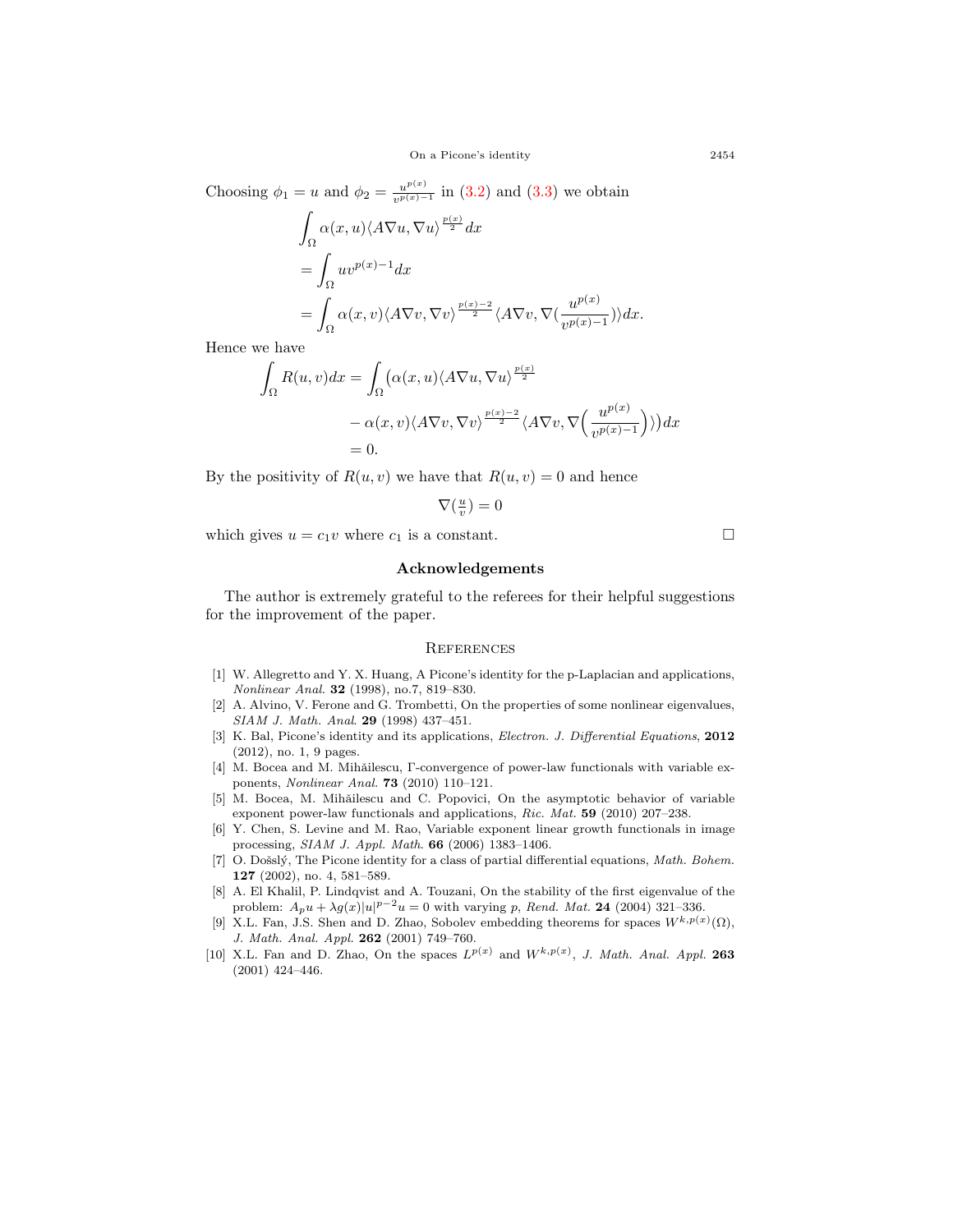Choosing  $\phi_1 = u$  and  $\phi_2 = \frac{u^{p(x)}}{v^{p(x)}-1}$  $\frac{u^{P(x)}}{v^{p(x)-1}}$  in [\(3.2\)](#page-5-1) and [\(3.3](#page-5-2)) we obtain

$$
\int_{\Omega} \alpha(x, u) \langle A \nabla u, \nabla u \rangle^{\frac{p(x)}{2}} dx
$$
\n
$$
= \int_{\Omega} u v^{p(x)-1} dx
$$
\n
$$
= \int_{\Omega} \alpha(x, v) \langle A \nabla v, \nabla v \rangle^{\frac{p(x)-2}{2}} \langle A \nabla v, \nabla (\frac{u^{p(x)}}{v^{p(x)-1}}) \rangle dx.
$$

Hence we have

$$
\int_{\Omega} R(u, v) dx = \int_{\Omega} (\alpha(x, u) \langle A \nabla u, \nabla u \rangle^{\frac{p(x)}{2}} \n- \alpha(x, v) \langle A \nabla v, \nabla v \rangle^{\frac{p(x) - 2}{2}} \langle A \nabla v, \nabla \left( \frac{u^{p(x)}}{v^{p(x) - 1}} \right) \rangle) dx \n= 0.
$$

By the positivity of  $R(u, v)$  we have that  $R(u, v) = 0$  and hence

$$
\nabla(\tfrac{u}{v})=0
$$

which gives  $u = c_1 v$  where  $c_1$  is a constant.  $\Box$ 

### **Acknowledgements**

The author is extremely grateful to the referees for their helpful suggestions for the improvement of the paper.

#### **REFERENCES**

- <span id="page-6-1"></span>[1] W. Allegretto and Y. X. Huang, A Picone's identity for the p-Laplacian and applications, *Nonlinear Anal.* **32** (1998), no.7, 819–830.
- <span id="page-6-6"></span>[2] A. Alvino, V. Ferone and G. Trombetti, On the properties of some nonlinear eigenvalues, *SIAM J. Math. Anal*. **29** (1998) 437–451.
- <span id="page-6-2"></span>[3] K. Bal, Picone's identity and its applications, *Electron. J. Differential Equations*, **2012** (2012), no. 1, 9 pages.
- <span id="page-6-4"></span>[4] M. Bocea and M. Mihǎilescu, Γ-convergence of power-law functionals with variable exponents, *Nonlinear Anal.* **73** (2010) 110–121.
- <span id="page-6-5"></span>[5] M. Bocea, M. Mihǎilescu and C. Popovici, On the asymptotic behavior of variable exponent power-law functionals and applications, *Ric. Mat.* **59** (2010) 207–238.
- <span id="page-6-3"></span>[6] Y. Chen, S. Levine and M. Rao, Variable exponent linear growth functionals in image processing, *SIAM J. Appl. Math*. **66** (2006) 1383–1406.
- <span id="page-6-0"></span>[7] O. Došslý, The Picone identity for a class of partial differential equations, *Math. Bohem.* **127** (2002), no. 4, 581–589.
- <span id="page-6-7"></span>[8] A. El Khalil, P. Lindqvist and A. Touzani, On the stability of the first eigenvalue of the problem:  $A_p u + \lambda g(x) |u|^{p-2} u = 0$  with varying *p*, *Rend. Mat.* **24** (2004) 321–336.
- <span id="page-6-8"></span>[9] X.L. Fan, J.S. Shen and D. Zhao, Sobolev embedding theorems for spaces  $W^{k,p(x)}(\Omega)$ , *J. Math. Anal. Appl.* **262** (2001) 749–760.
- <span id="page-6-9"></span>[10] X.L. Fan and D. Zhao, On the spaces  $L^{p(x)}$  and  $W^{k,p(x)}$ , *J. Math. Anal. Appl.* 263 (2001) 424–446.